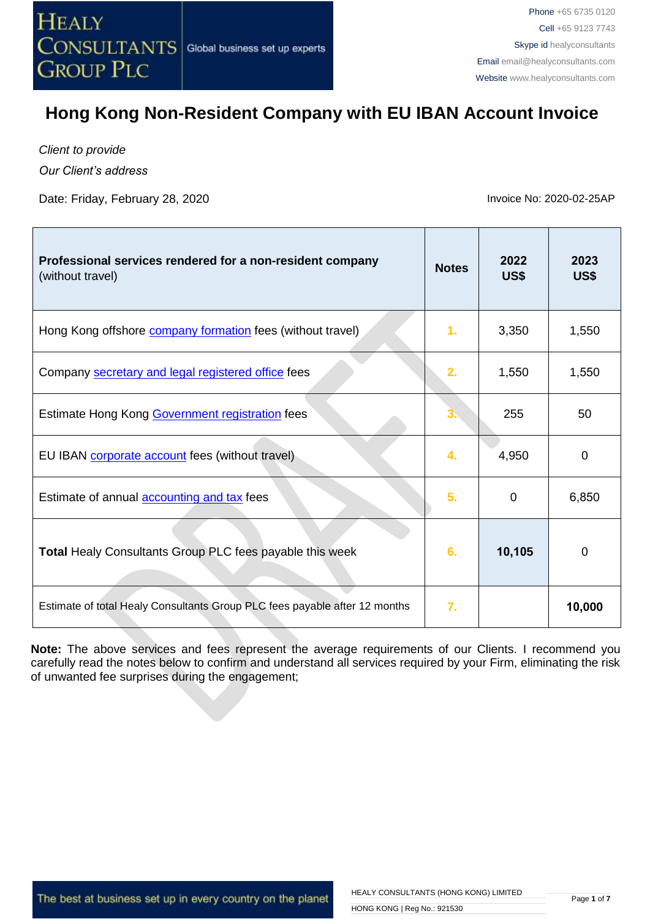

*Client to provide*

*Our Client's address*

Date: Friday, February 28, 2020 **Invoice No. 2020-02-25AP** 

| Professional services rendered for a non-resident company<br>(without travel) | <b>Notes</b> | 2022<br>US\$ | 2023<br>US\$ |
|-------------------------------------------------------------------------------|--------------|--------------|--------------|
| Hong Kong offshore <b>company formation</b> fees (without travel)             | 1.           | 3,350        | 1,550        |
| Company secretary and legal registered office fees                            | 2.           | 1,550        | 1,550        |
| Estimate Hong Kong Government registration fees                               | 3.           | 255          | 50           |
| EU IBAN corporate account fees (without travel)                               | 4.           | 4,950        | 0            |
| Estimate of annual <b>accounting and tax</b> fees                             | 5.           | 0            | 6,850        |
| Total Healy Consultants Group PLC fees payable this week                      | 6.           | 10,105       | $\Omega$     |
| Estimate of total Healy Consultants Group PLC fees payable after 12 months    | 7.           |              | 10,000       |

**Note:** The above services and fees represent the average requirements of our Clients. I recommend you carefully read the notes below to confirm and understand all services required by your Firm, eliminating the risk of unwanted fee surprises during the engagement;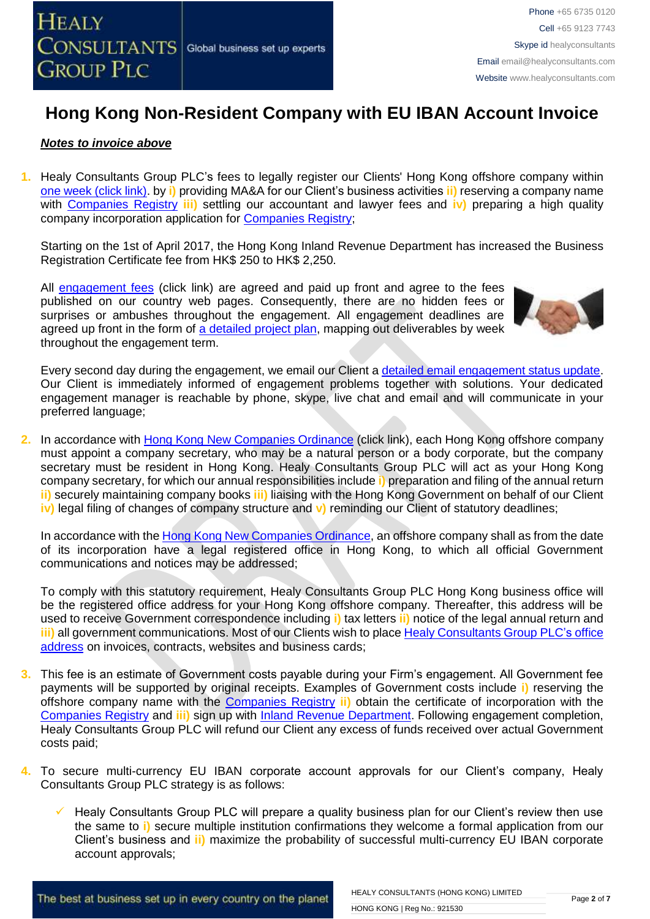

### *Notes to invoice above*

**1.** Healy Consultants Group PLC's fees to legally register our Clients' Hong Kong offshore company within [one week \(click link\).](http://www.healyconsultants.com/hong-kong-company-registration/incorporation-steps/) by **i)** providing MA&A for our Client's business activities **ii)** reserving a company name with [Companies Registry](http://www.cr.gov.hk/en/public/services.htm) **iii)** settling our accountant and lawyer fees and **iv)** preparing a high quality company incorporation application for [Companies Registry;](http://www.cr.gov.hk/en/public/services.htm)

Starting on the 1st of April 2017, the Hong Kong Inland Revenue Department has increased the Business Registration Certificate fee from HK\$ 250 to HK\$ 2,250.

All [engagement fees](http://www.healyconsultants.com/company-registration-fees/) (click link) are agreed and paid up front and agree to the fees published on our country web pages. Consequently, there are no hidden fees or surprises or ambushes throughout the engagement. All engagement deadlines are agreed up front in the form of [a detailed project plan,](http://www.healyconsultants.com/index-important-links/example-project-plan/) mapping out deliverables by week throughout the engagement term.



Every second day during the engagement, we email our Client [a detailed email engagement status update.](http://www.healyconsultants.com/index-important-links/weekly-engagement-status-email/) Our Client is immediately informed of engagement problems together with solutions. Your dedicated engagement manager is reachable by phone, skype, live chat and email and will communicate in your preferred language;

**2.** In accordance with [Hong Kong New Companies Ordinance](http://www.cr.gov.hk/en/companies_ordinance/docs/NewCO_C622_HL_FullVersion-e.pdf) (click link), each Hong Kong offshore company must appoint a company secretary, who may be a natural person or a body corporate, but the company secretary must be resident in Hong Kong. Healy Consultants Group PLC will act as your Hong Kong company secretary, for which our annual responsibilities include **i)** preparation and filing of the annual return **ii)** securely maintaining company books **iii)** liaising with the Hong Kong Government on behalf of our Client **iv)** legal filing of changes of company structure and **v)** reminding our Client of statutory deadlines;

In accordance with the [Hong Kong New Companies Ordinance,](http://www.cr.gov.hk/en/companies_ordinance/docs/NewCO_C622_HL_FullVersion-e.pdf) an offshore company shall as from the date of its incorporation have a legal registered office in Hong Kong, to which all official Government communications and notices may be addressed;

To comply with this statutory requirement, Healy Consultants Group PLC Hong Kong business office will be the registered office address for your Hong Kong offshore company. Thereafter, this address will be used to receive Government correspondence including **i)** tax letters **ii)** notice of the legal annual return and **iii)** all government communications. Most of our Clients wish to place [Healy Consultants Group PLC's](http://www.healyconsultants.com/corporate-outsourcing-services/company-secretary-and-legal-registered-office/) office [address](http://www.healyconsultants.com/corporate-outsourcing-services/company-secretary-and-legal-registered-office/) on invoices, contracts, websites and business cards;

- **3.** This fee is an estimate of Government costs payable during your Firm's engagement. All Government fee payments will be supported by original receipts. Examples of Government costs include **i)** reserving the offshore company name with the [Companies Registry](http://www.cr.gov.hk/en/public/services.htm) **ii)** obtain the certificate of incorporation with the [Companies Registry](http://www.cr.gov.hk/en/public/services.htm) and **iii)** sign up with [Inland Revenue Department.](http://www.ird.gov.hk/eng/welcome.htm) Following engagement completion, Healy Consultants Group PLC will refund our Client any excess of funds received over actual Government costs paid;
- **4.** To secure multi-currency EU IBAN corporate account approvals for our Client's company, Healy Consultants Group PLC strategy is as follows:
	- Healy Consultants Group PLC will prepare a quality business plan for our Client's review then use the same to **i)** secure multiple institution confirmations they welcome a formal application from our Client's business and **ii)** maximize the probability of successful multi-currency EU IBAN corporate account approvals;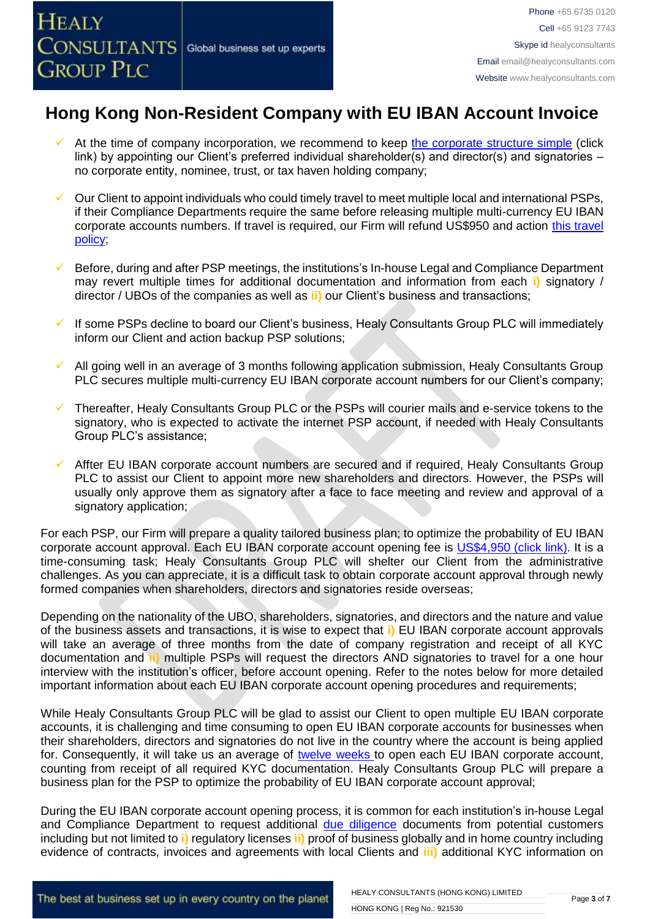- At the time of company incorporation, we recommend to keep [the corporate structure simple](https://www.healyconsultants.com/about-us/complex-client-engagements/simplify-business-setup/) (click link) by appointing our Client's preferred individual shareholder(s) and director(s) and signatories – no corporate entity, nominee, trust, or tax haven holding company;
- Our Client to appoint individuals who could timely travel to meet multiple local and international PSPs, if their Compliance Departments require the same before releasing multiple multi-currency EU IBAN corporate accounts numbers. If travel is required, our Firm will refund US\$950 and action [this travel](https://www.healyconsultants.com/index-important-links/clients-travel-engagement/)  [policy;](https://www.healyconsultants.com/index-important-links/clients-travel-engagement/)
- Before, during and after PSP meetings, the institutions's In-house Legal and Compliance Department may revert multiple times for additional documentation and information from each **i)** signatory / director / UBOs of the companies as well as **ii)** our Client's business and transactions;
- If some PSPs decline to board our Client's business, Healy Consultants Group PLC will immediately inform our Client and action backup PSP solutions;
- All going well in an average of 3 months following application submission, Healy Consultants Group PLC secures multiple multi-currency EU IBAN corporate account numbers for our Client's company;
- Thereafter, Healy Consultants Group PLC or the PSPs will courier mails and e-service tokens to the signatory, who is expected to activate the internet PSP account, if needed with Healy Consultants Group PLC's assistance;
- Affter EU IBAN corporate account numbers are secured and if required, Healy Consultants Group PLC to assist our Client to appoint more new shareholders and directors. However, the PSPs will usually only approve them as signatory after a face to face meeting and review and approval of a signatory application;

For each PSP, our Firm will prepare a quality tailored business plan; to optimize the probability of EU IBAN corporate account approval. Each EU IBAN corporate account opening fee is US\$4,950 [\(click link\).](https://www.healyconsultants.com/global-corporate-banking-for-resident-company/) It is a time-consuming task; Healy Consultants Group PLC will shelter our Client from the administrative challenges. As you can appreciate, it is a difficult task to obtain corporate account approval through newly formed companies when shareholders, directors and signatories reside overseas;

Depending on the nationality of the UBO, shareholders, signatories, and directors and the nature and value of the business assets and transactions, it is wise to expect that **i)** EU IBAN corporate account approvals will take an average of three months from the date of company registration and receipt of all KYC documentation and **ii)** multiple PSPs will request the directors AND signatories to travel for a one hour interview with the institution's officer, before account opening. Refer to the notes below for more detailed important information about each EU IBAN corporate account opening procedures and requirements;

While Healy Consultants Group PLC will be glad to assist our Client to open multiple EU IBAN corporate accounts, it is challenging and time consuming to open EU IBAN corporate accounts for businesses when their shareholders, directors and signatories do not live in the country where the account is being applied for. Consequently, it will take us an average of [twelve weeks](http://www.healyconsultants.com/international-banking/bitcoin-business-bank-account/) to open each EU IBAN corporate account, counting from receipt of all required KYC documentation. Healy Consultants Group PLC will prepare a business plan for the PSP to optimize the probability of EU IBAN corporate account approval;

During the EU IBAN corporate account opening process, it is common for each institution's in-house Legal and Compliance Department to request additional [due diligence](http://www.healyconsultants.com/due-diligence/) documents from potential customers including but not limited to **i)** regulatory licenses **ii)** proof of business globally and in home country including evidence of contracts, invoices and agreements with local Clients and **iii)** additional KYC information on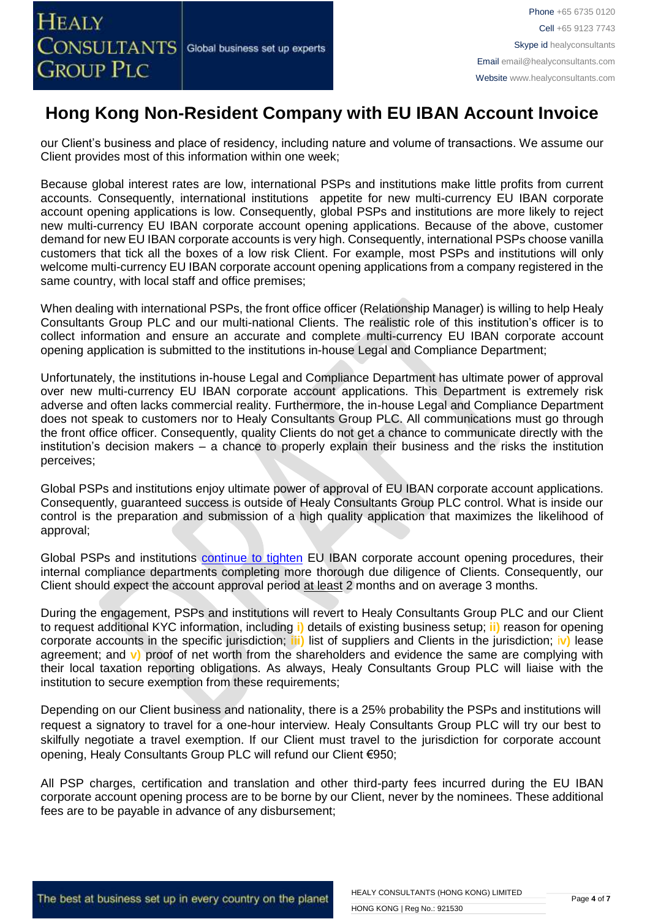our Client's business and place of residency, including nature and volume of transactions. We assume our Client provides most of this information within one week;

Because global interest rates are low, international PSPs and institutions make little profits from current accounts. Consequently, international institutions appetite for new multi-currency EU IBAN corporate account opening applications is low. Consequently, global PSPs and institutions are more likely to reject new multi-currency EU IBAN corporate account opening applications. Because of the above, customer demand for new EU IBAN corporate accounts is very high. Consequently, international PSPs choose vanilla customers that tick all the boxes of a low risk Client. For example, most PSPs and institutions will only welcome multi-currency EU IBAN corporate account opening applications from a company registered in the same country, with local staff and office premises;

When dealing with international PSPs, the front office officer (Relationship Manager) is willing to help Healy Consultants Group PLC and our multi-national Clients. The realistic role of this institution's officer is to collect information and ensure an accurate and complete multi-currency EU IBAN corporate account opening application is submitted to the institutions in-house Legal and Compliance Department;

Unfortunately, the institutions in-house Legal and Compliance Department has ultimate power of approval over new multi-currency EU IBAN corporate account applications. This Department is extremely risk adverse and often lacks commercial reality. Furthermore, the in-house Legal and Compliance Department does not speak to customers nor to Healy Consultants Group PLC. All communications must go through the front office officer. Consequently, quality Clients do not get a chance to communicate directly with the institution's decision makers – a chance to properly explain their business and the risks the institution perceives;

Global PSPs and institutions enjoy ultimate power of approval of EU IBAN corporate account applications. Consequently, guaranteed success is outside of Healy Consultants Group PLC control. What is inside our control is the preparation and submission of a high quality application that maximizes the likelihood of approval;

Global PSPs and institutions [continue to tighten](https://www.healyconsultants.com/international-banking/opening-corporate-bank-accounts/) EU IBAN corporate account opening procedures, their internal compliance departments completing more thorough due diligence of Clients. Consequently, our Client should expect the account approval period at least 2 months and on average 3 months.

During the engagement, PSPs and institutions will revert to Healy Consultants Group PLC and our Client to request additional KYC information, including **i)** details of existing business setup; **ii)** reason for opening corporate accounts in the specific jurisdiction; **iii)** list of suppliers and Clients in the jurisdiction; i**v)** lease agreement; and **v)** proof of net worth from the shareholders and evidence the same are complying with their local taxation reporting obligations. As always, Healy Consultants Group PLC will liaise with the institution to secure exemption from these requirements;

Depending on our Client business and nationality, there is a 25% probability the PSPs and institutions will request a signatory to travel for a one-hour interview. Healy Consultants Group PLC will try our best to skilfully negotiate a travel exemption. If our Client must travel to the jurisdiction for corporate account opening, Healy Consultants Group PLC will refund our Client €950;

All PSP charges, certification and translation and other third-party fees incurred during the EU IBAN corporate account opening process are to be borne by our Client, never by the nominees. These additional fees are to be payable in advance of any disbursement;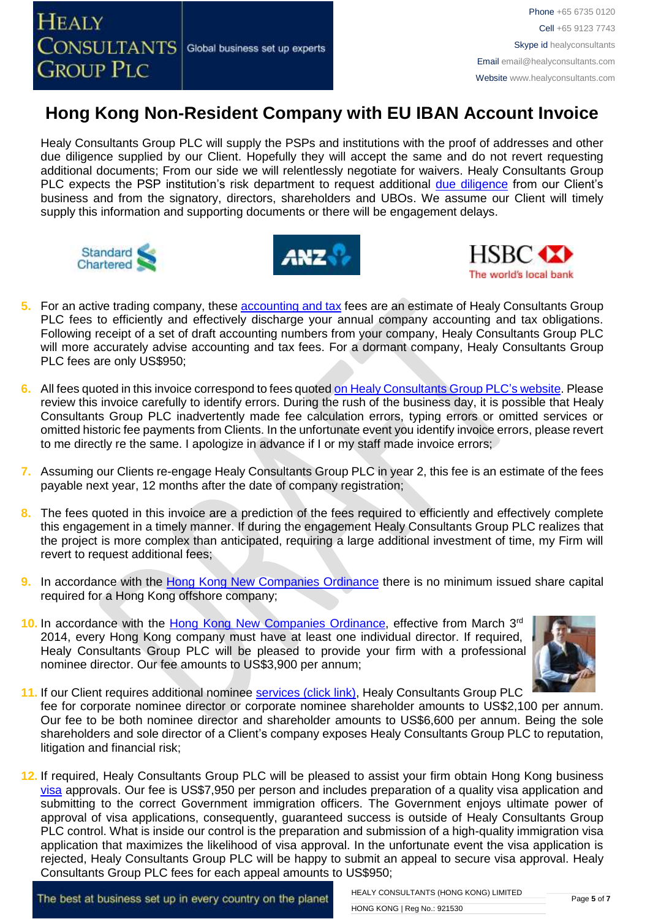Healy Consultants Group PLC will supply the PSPs and institutions with the proof of addresses and other due diligence supplied by our Client. Hopefully they will accept the same and do not revert requesting additional documents; From our side we will relentlessly negotiate for waivers. Healy Consultants Group PLC expects the PSP institution's risk department to request additional [due diligence](http://www.healyconsultants.com/due-diligence/) from our Client's business and from the signatory, directors, shareholders and UBOs. We assume our Client will timely supply this information and supporting documents or there will be engagement delays.







- **5.** For an active trading company, these [accounting](http://www.healyconsultants.com/hong-kong-company-registration/accounting-legal/) and tax fees are an estimate of Healy Consultants Group PLC fees to efficiently and effectively discharge your annual company accounting and tax obligations. Following receipt of a set of draft accounting numbers from your company, Healy Consultants Group PLC will more accurately advise accounting and tax fees. For a dormant company, Healy Consultants Group PLC fees are only US\$950;
- **6.** All fees quoted in this invoice correspond to fees quoted [on Healy Consultants Group PLC's](http://www.healyconsultants.com/company-registration-fees/) website. Please review this invoice carefully to identify errors. During the rush of the business day, it is possible that Healy Consultants Group PLC inadvertently made fee calculation errors, typing errors or omitted services or omitted historic fee payments from Clients. In the unfortunate event you identify invoice errors, please revert to me directly re the same. I apologize in advance if I or my staff made invoice errors;
- **7.** Assuming our Clients re-engage Healy Consultants Group PLC in year 2, this fee is an estimate of the fees payable next year, 12 months after the date of company registration;
- **8.** The fees quoted in this invoice are a prediction of the fees required to efficiently and effectively complete this engagement in a timely manner. If during the engagement Healy Consultants Group PLC realizes that the project is more complex than anticipated, requiring a large additional investment of time, my Firm will revert to request additional fees;
- **9.** In accordance with the [Hong Kong New Companies Ordinance](http://www.cr.gov.hk/en/companies_ordinance/docs/NewCO_C622_HL_FullVersion-e.pdf) there is no minimum issued share capital required for a Hong Kong offshore company;
- 10. In accordance with the [Hong Kong New Companies Ordinance,](http://www.cr.gov.hk/en/companies_ordinance/docs/NewCO_C622_HL_FullVersion-e.pdf) effective from March 3<sup>rd</sup> 2014, every Hong Kong company must have at least one individual director. If required, Healy Consultants Group PLC will be pleased to provide your firm with a professional nominee director. Our fee amounts to US\$3,900 per annum;



- **11.** If our Client requires additional nominee services [\(click link\),](http://www.healyconsultants.com/corporate-outsourcing-services/nominee-shareholders-directors/) Healy Consultants Group PLC fee for corporate nominee director or corporate nominee shareholder amounts to US\$2,100 per annum. Our fee to be both nominee director and shareholder amounts to US\$6,600 per annum. Being the sole shareholders and sole director of a Client's company exposes Healy Consultants Group PLC to reputation, litigation and financial risk;
- **12.** If required, Healy Consultants Group PLC will be pleased to assist your firm obtain Hong Kong business [visa](http://www.healyconsultants.com/hong-kong-company-registration/formation-support-services/) approvals. Our fee is US\$7,950 per person and includes preparation of a quality visa application and submitting to the correct Government immigration officers. The Government enjoys ultimate power of approval of visa applications, consequently, guaranteed success is outside of Healy Consultants Group PLC control. What is inside our control is the preparation and submission of a high-quality immigration visa application that maximizes the likelihood of visa approval. In the unfortunate event the visa application is rejected, Healy Consultants Group PLC will be happy to submit an appeal to secure visa approval. Healy Consultants Group PLC fees for each appeal amounts to US\$950;

The best at business set up in every country on the planet

HEALY CONSULTANTS (HONG KONG) LIMITED HONG KONG | Reg No.: 921530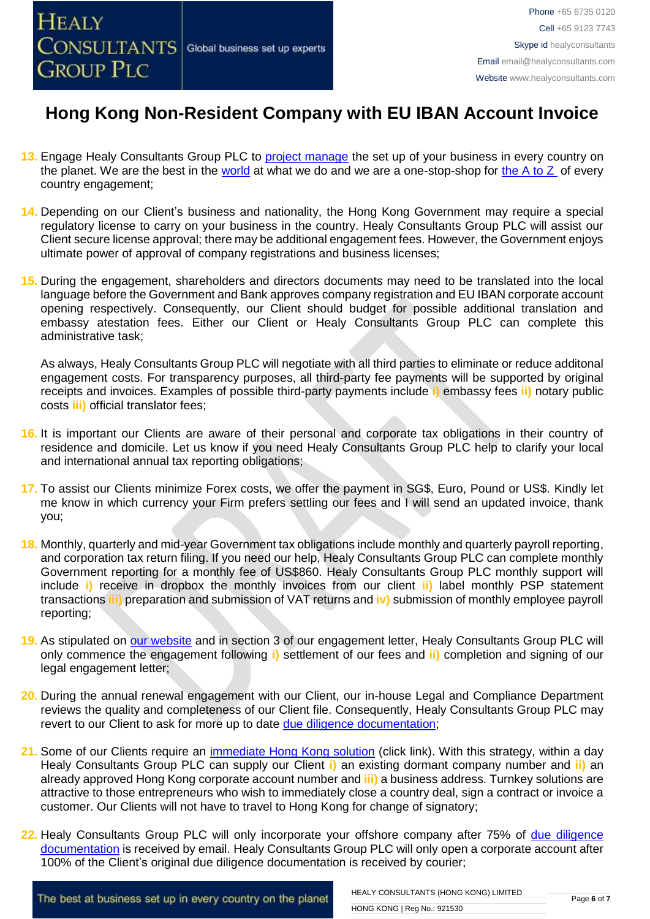- **13.** Engage Healy Consultants Group PLC to [project manage](http://www.healyconsultants.com/project-manage-engagements/) the set up of your business in every country on the planet. We are the best in the [world](http://www.healyconsultants.com/best-in-the-world/) at what we do and we are a one-stop-shop for [the A to Z](http://www.healyconsultants.com/a-to-z-of-business-set-up/) of every country engagement;
- **14.** Depending on our Client's business and nationality, the Hong Kong Government may require a special regulatory license to carry on your business in the country. Healy Consultants Group PLC will assist our Client secure license approval; there may be additional engagement fees. However, the Government enjoys ultimate power of approval of company registrations and business licenses;
- **15.** During the engagement, shareholders and directors documents may need to be translated into the local language before the Government and Bank approves company registration and EU IBAN corporate account opening respectively. Consequently, our Client should budget for possible additional translation and embassy atestation fees. Either our Client or Healy Consultants Group PLC can complete this administrative task;

As always, Healy Consultants Group PLC will negotiate with all third parties to eliminate or reduce additonal engagement costs. For transparency purposes, all third-party fee payments will be supported by original receipts and invoices. Examples of possible third-party payments include **i)** embassy fees **ii)** notary public costs **iii)** official translator fees;

- **16.** It is important our Clients are aware of their personal and corporate tax obligations in their country of residence and domicile. Let us know if you need Healy Consultants Group PLC help to clarify your local and international annual tax reporting obligations;
- **17.** To assist our Clients minimize Forex costs, we offer the payment in SG\$, Euro, Pound or US\$. Kindly let me know in which currency your Firm prefers settling our fees and I will send an updated invoice, thank you;
- **18.** Monthly, quarterly and mid-year Government tax obligations include monthly and quarterly payroll reporting, and corporation tax return filing. If you need our help, Healy Consultants Group PLC can complete monthly Government reporting for a monthly fee of US\$860. Healy Consultants Group PLC monthly support will include **i)** receive in dropbox the monthly invoices from our client **ii)** label monthly PSP statement transactions **iii)** preparation and submission of VAT returns and **iv)** submission of monthly employee payroll reporting;
- **19.** As stipulated on [our website](http://www.healyconsultants.com/) and in section 3 of our engagement letter, Healy Consultants Group PLC will only commence the engagement following **i)** settlement of our fees and **ii)** completion and signing of our legal engagement letter;
- **20.** During the annual renewal engagement with our Client, our in-house Legal and Compliance Department reviews the quality and completeness of our Client file. Consequently, Healy Consultants Group PLC may revert to our Client to ask for more up to date [due diligence documentation;](http://www.healyconsultants.com/due-diligence/)
- **21.** Some of our Clients require an [immediate Hong Kong solution](http://www.healyconsultants.com/hong-kong-company-registration/turnkey-solutions/) (click link). With this strategy, within a day Healy Consultants Group PLC can supply our Client **i)** an existing dormant company number and **ii)** an already approved Hong Kong corporate account number and **iii)** a business address. Turnkey solutions are attractive to those entrepreneurs who wish to immediately close a country deal, sign a contract or invoice a customer. Our Clients will not have to travel to Hong Kong for change of signatory;
- 22. Healy Consultants Group PLC will only incorporate your offshore company after 75% of due diligence [documentation](http://www.healyconsultants.com/due-diligence/) is received by email. Healy Consultants Group PLC will only open a corporate account after 100% of the Client's original due diligence documentation is received by courier;